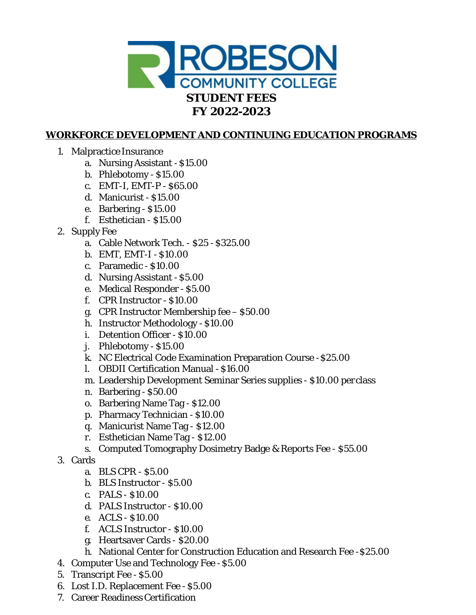

# **WORKFORCE DEVELOPMENT AND CONTINUING EDUCATION PROGRAMS**

- 1. Malpractice Insurance
	- a. Nursing Assistant \$15.00
	- b. Phlebotomy \$15.00
	- c. EMT-I, EMT-P \$65.00
	- d. Manicurist \$15.00
	- e. Barbering \$15.00
	- f. Esthetician \$15.00
- 2. Supply Fee
	- a. Cable Network Tech. \$25 -\$325.00
	- b. EMT, EMT-I \$10.00
	- c. Paramedic \$10.00
	- d. Nursing Assistant -\$5.00
	- e. Medical Responder \$5.00
	- f. CPR Instructor \$10.00
	- g. CPR Instructor Membership fee –\$50.00
	- h. Instructor Methodology -\$10.00
	- i. Detention Officer \$10.00
	- j. Phlebotomy \$15.00
	- k. NC Electrical Code Examination Preparation Course -\$25.00
	- l. OBDII Certification Manual -\$16.00
	- m. Leadership Development Seminar Series supplies \$10.00 per class
	- n. Barbering \$50.00
	- o. Barbering Name Tag \$12.00
	- p. Pharmacy Technician \$10.00
	- q. Manicurist Name Tag \$12.00
	- r. Esthetician Name Tag \$12.00
	- s. Computed Tomography Dosimetry Badge & Reports Fee \$55.00
- 3. Cards
	- a. BLS CPR \$5.00
	- b. BLS Instructor \$5.00
	- c. PALS \$10.00
	- d. PALS Instructor \$10.00
	- e. ACLS \$10.00
	- f. ACLS Instructor \$10.00
	- g. Heartsaver Cards \$20.00
	- h. National Center for Construction Education and Research Fee -\$25.00
- 4. Computer Use and Technology Fee -\$5.00
- 5. Transcript Fee \$5.00
- 6. Lost I.D. Replacement Fee -\$5.00
- 7. Career Readiness Certification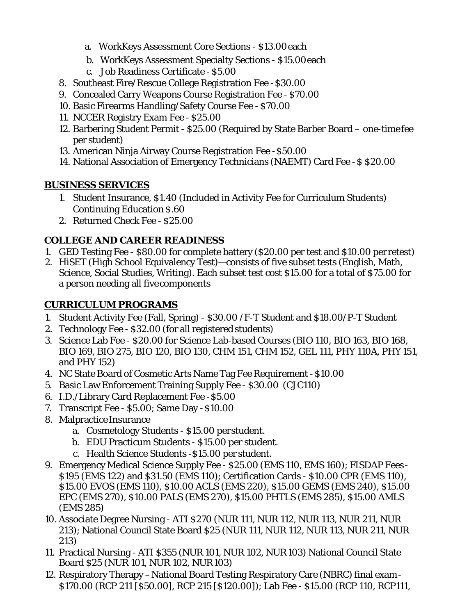- a. WorkKeys Assessment Core Sections \$13.00each
- b. WorkKeys Assessment Specialty Sections \$15.00each
- c. Job Readiness Certificate -\$5.00
- 8. Southeast Fire/Rescue College Registration Fee -\$30.00
- 9. Concealed Carry Weapons Course Registration Fee \$70.00
- 10. Basic Firearms Handling/Safety Course Fee \$70.00
- 11. NCCER Registry Exam Fee \$25.00
- 12. Barbering Student Permit \$25.00 (Required by State Barber Board one-timefee per student)
- 13. American Ninja Airway Course Registration Fee -\$50.00
- 14. National Association of Emergency Technicians (NAEMT) Card Fee -\$ \$20.00

## **BUSINESS SERVICES**

- 1. Student Insurance, \$1.40 (Included in Activity Fee for Curriculum Students) Continuing Education \$.60
- 2. Returned Check Fee \$25.00

# **COLLEGE AND CAREER READINESS**

- 1. GED Testing Fee \$80.00 for complete battery (\$20.00 per test and \$10.00 per retest)
- 2. HiSET (High School Equivalency Test)—consists of five subset tests (English, Math, Science, Social Studies, Writing). Each subset test cost \$15.00 for a total of \$75.00 for a person needing all fivecomponents

## **CURRICULUM PROGRAMS**

- 1. Student Activity Fee (Fall, Spring) \$30.00 /F-T Student and \$18.00/P-T Student
- 2. Technology Fee \$32.00 (for all registered students)
- 3. Science Lab Fee \$20.00 for Science Lab-based Courses (BIO 110, BIO 163, BIO 168, BIO 169, BIO 275, BIO 120, BIO 130, CHM 151, CHM 152, GEL 111, PHY 110A, PHY 151, and PHY 152)
- 4. NC State Board of Cosmetic Arts Name Tag Fee Requirement -\$10.00
- 5. Basic Law Enforcement Training Supply Fee \$30.00 (CJC110)
- 6. I.D./Library Card Replacement Fee -\$5.00
- 7. Transcript Fee \$5.00; Same Day -\$10.00
- 8. Malpractice Insurance
	- a. Cosmetology Students \$15.00 perstudent.
	- b. EDU Practicum Students \$15.00 per student.
	- c. Health Science Students -\$15.00 per student.
- 9. Emergency Medical Science Supply Fee \$25.00 (EMS 110, EMS 160); FISDAP Fees \$195 (EMS 122) and \$31.50 (EMS 110); Certification Cards - \$10.00 CPR (EMS 110), \$15.00 EVOS (EMS 110), \$10.00 ACLS (EMS 220), \$15.00 GEMS (EMS 240), \$15.00 EPC (EMS 270), \$10.00 PALS (EMS 270), \$15.00 PHTLS (EMS 285), \$15.00 AMLS (EMS 285)
- 10. Associate Degree Nursing ATI \$270 (NUR 111, NUR 112, NUR 113, NUR 211, NUR 213); National Council State Board \$25 (NUR 111, NUR 112, NUR 113, NUR 211, NUR 213)
- 11. Practical Nursing ATI \$355 (NUR 101, NUR 102, NUR103) National Council State Board \$25 (NUR 101, NUR 102, NUR103)
- 12. Respiratory Therapy –National Board Testing Respiratory Care (NBRC) final exam- \$170.00 (RCP 211 [\$50.00], RCP 215 [\$120.00]); Lab Fee - \$15.00 (RCP 110, RCP111,